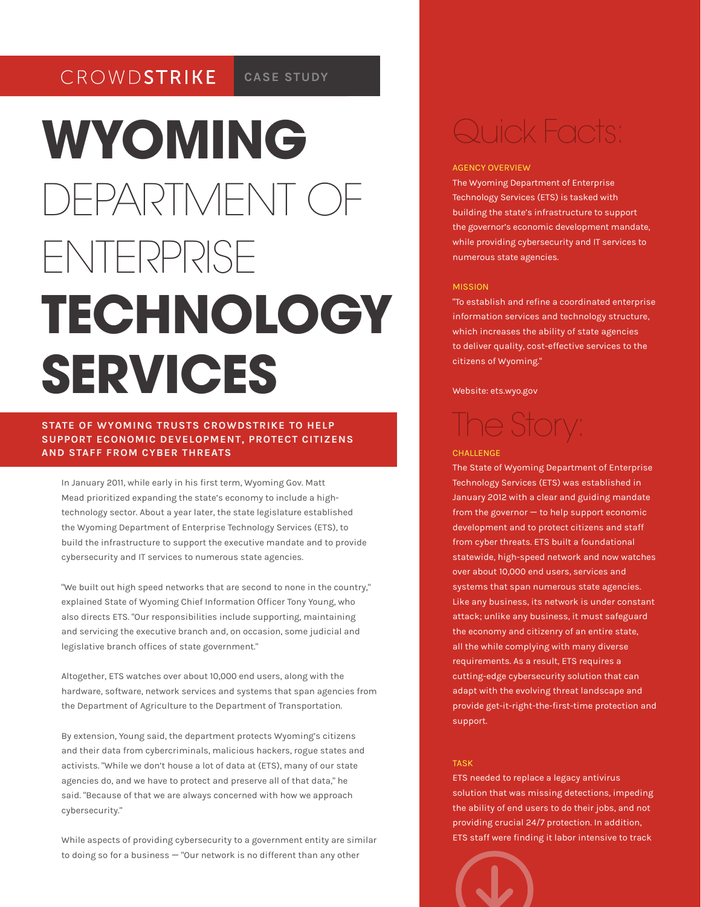#### CROWDSTRIKE **CASE STUDY**

# **WYOMING** DEPARTMENT OF ENTERPRISE **TECHNOLOGY SERVICES**

# **STATE OF WYOMING TRUSTS CROWDSTRIKE TO HELP SUPPORT ECONOMIC DEVELOPMENT, PROTECT CITIZENS AND STAFF FROM CYBER THREATS**

In January 2011, while early in his first term, Wyoming Gov. Matt Mead prioritized expanding the state's economy to include a hightechnology sector. About a year later, the state legislature established the Wyoming Department of Enterprise Technology Services (ETS), to build the infrastructure to support the executive mandate and to provide cybersecurity and IT services to numerous state agencies.

"We built out high speed networks that are second to none in the country," explained State of Wyoming Chief Information Officer Tony Young, who also directs ETS. "Our responsibilities include supporting, maintaining and servicing the executive branch and, on occasion, some judicial and legislative branch offices of state government."

Altogether, ETS watches over about 10,000 end users, along with the hardware, software, network services and systems that span agencies from the Department of Agriculture to the Department of Transportation.

By extension, Young said, the department protects Wyoming's citizens and their data from cybercriminals, malicious hackers, rogue states and activists. "While we don't house a lot of data at (ETS), many of our state agencies do, and we have to protect and preserve all of that data," he said. "Because of that we are always concerned with how we approach cybersecurity."

While aspects of providing cybersecurity to a government entity are similar to doing so for a business — "Our network is no different than any other

# Quick Facts:

## AGENCY OVERVIEW

The Wyoming Department of Enterprise Technology Services (ETS) is tasked with building the state's infrastructure to support the governor's economic development mandate, while providing cybersecurity and IT services to numerous state agencies.

#### MISSION

"To establish and refine a coordinated enterprise information services and technology structure, which increases the ability of state agencies to deliver quality, cost-effective services to the citizens of Wyoming."

### Website: ets.wyo.gov

# The Story: **CHALLENGE**

# The State of Wyoming Department of Enterprise

Technology Services (ETS) was established in January 2012 with a clear and guiding mandate from the governor — to help support economic development and to protect citizens and staff from cyber threats. ETS built a foundational statewide, high-speed network and now watches over about 10,000 end users, services and systems that span numerous state agencies. Like any business, its network is under constant attack; unlike any business, it must safeguard the economy and citizenry of an entire state, all the while complying with many diverse requirements. As a result, ETS requires a cutting-edge cybersecurity solution that can adapt with the evolving threat landscape and provide get-it-right-the-first-time protection and support.

# TASK

ETS needed to replace a legacy antivirus solution that was missing detections, impeding the ability of end users to do their jobs, and not providing crucial 24/7 protection. In addition, ETS staff were finding it labor intensive to track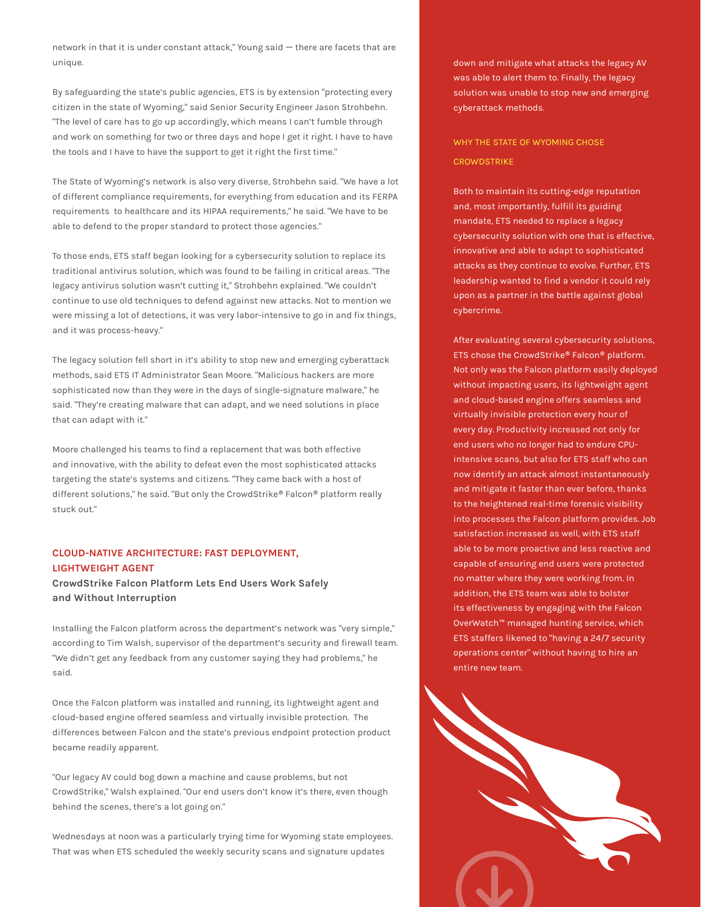network in that it is under constant attack," Young said — there are facets that are unique.

By safeguarding the state's public agencies, ETS is by extension "protecting every citizen in the state of Wyoming," said Senior Security Engineer Jason Strohbehn. "The level of care has to go up accordingly, which means I can't fumble through and work on something for two or three days and hope I get it right. I have to have the tools and I have to have the support to get it right the first time."

The State of Wyoming's network is also very diverse, Strohbehn said. "We have a lot of different compliance requirements, for everything from education and its FERPA requirements to healthcare and its HIPAA requirements," he said. "We have to be able to defend to the proper standard to protect those agencies."

To those ends, ETS staff began looking for a cybersecurity solution to replace its traditional antivirus solution, which was found to be failing in critical areas. "The legacy antivirus solution wasn't cutting it," Strohbehn explained. "We couldn't continue to use old techniques to defend against new attacks. Not to mention we were missing a lot of detections, it was very labor-intensive to go in and fix things, and it was process-heavy."

The legacy solution fell short in it's ability to stop new and emerging cyberattack methods, said ETS IT Administrator Sean Moore. "Malicious hackers are more sophisticated now than they were in the days of single-signature malware," he said. "They're creating malware that can adapt, and we need solutions in place that can adapt with it."

Moore challenged his teams to find a replacement that was both effective and innovative, with the ability to defeat even the most sophisticated attacks targeting the state's systems and citizens. "They came back with a host of different solutions," he said. "But only the CrowdStrike® Falcon® platform really stuck out."

# **CLOUD-NATIVE ARCHITECTURE: FAST DEPLOYMENT, LIGHTWEIGHT AGENT**

**CrowdStrike Falcon Platform Lets End Users Work Safely and Without Interruption**

Installing the Falcon platform across the department's network was "very simple," according to Tim Walsh, supervisor of the department's security and firewall team. "We didn't get any feedback from any customer saying they had problems," he said.

Once the Falcon platform was installed and running, its lightweight agent and cloud-based engine offered seamless and virtually invisible protection. The differences between Falcon and the state's previous endpoint protection product became readily apparent.

"Our legacy AV could bog down a machine and cause problems, but not CrowdStrike," Walsh explained. "Our end users don't know it's there, even though behind the scenes, there's a lot going on."

Wednesdays at noon was a particularly trying time for Wyoming state employees. That was when ETS scheduled the weekly security scans and signature updates

down and mitigate what attacks the legacy AV was able to alert them to. Finally, the legacy solution was unable to stop new and emerging cyberattack methods.

WHY THE STATE OF WYOMING CHOSE **CROWDSTRIKE** 

Both to maintain its cutting-edge reputation and, most importantly, fulfill its guiding mandate, ETS needed to replace a legacy cybersecurity solution with one that is effective, innovative and able to adapt to sophisticated attacks as they continue to evolve. Further, ETS leadership wanted to find a vendor it could rely upon as a partner in the battle against global cybercrime.

After evaluating several cybersecurity solutions, ETS chose the CrowdStrike® Falcon® platform. Not only was the Falcon platform easily deployed without impacting users, its lightweight agent and cloud-based engine offers seamless and virtually invisible protection every hour of every day. Productivity increased not only for end users who no longer had to endure CPUintensive scans, but also for ETS staff who can now identify an attack almost instantaneously and mitigate it faster than ever before, thanks to the heightened real-time forensic visibility into processes the Falcon platform provides. Job satisfaction increased as well, with ETS staff able to be more proactive and less reactive and capable of ensuring end users were protected no matter where they were working from. In addition, the ETS team was able to bolster its effectiveness by engaging with the Falcon OverWatch™ managed hunting service, which ETS staffers likened to "having a 24/7 security operations center" without having to hire an entire new team.

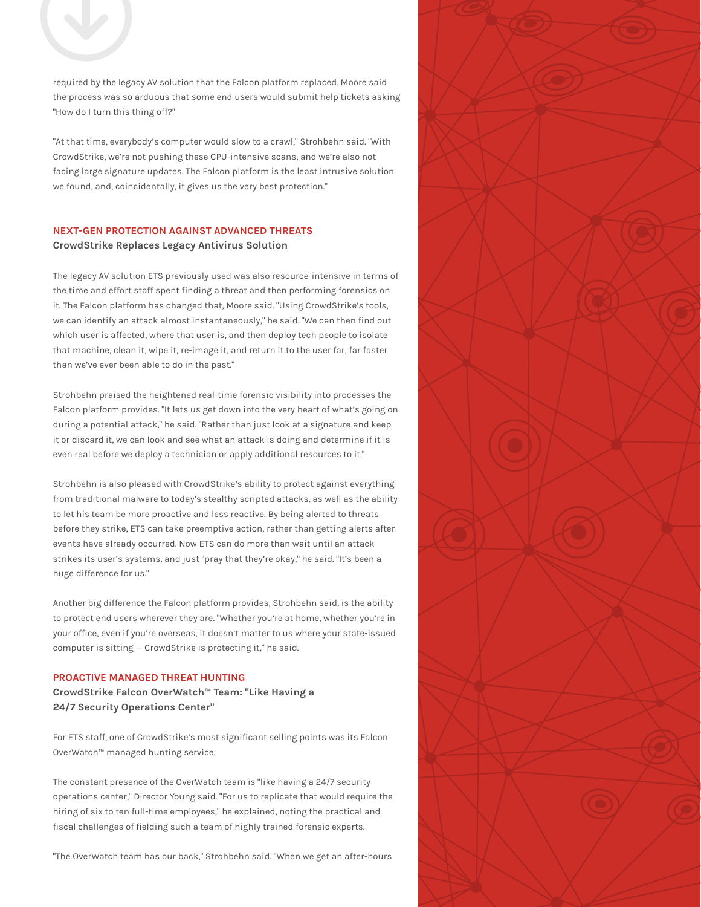

required by the legacy AV solution that the Falcon platform replaced. Moore said the process was so arduous that some end users would submit help tickets asking "How do I turn this thing off?"

"At that time, everybody's computer would slow to a crawl," Strohbehn said. "With CrowdStrike, we're not pushing these CPU-intensive scans, and we're also not facing large signature updates. The Falcon platform is the least intrusive solution we found, and, coincidentally, it gives us the very best protection."

# **NEXT-GEN PROTECTION AGAINST ADVANCED THREATS CrowdStrike Replaces Legacy Antivirus Solution**

The legacy AV solution ETS previously used was also resource-intensive in terms of the time and effort staff spent finding a threat and then performing forensics on it. The Falcon platform has changed that, Moore said. "Using CrowdStrike's tools, we can identify an attack almost instantaneously," he said. "We can then find out which user is affected, where that user is, and then deploy tech people to isolate that machine, clean it, wipe it, re-image it, and return it to the user far, far faster than we've ever been able to do in the past."

Strohbehn praised the heightened real-time forensic visibility into processes the Falcon platform provides. "It lets us get down into the very heart of what's going on during a potential attack," he said. "Rather than just look at a signature and keep it or discard it, we can look and see what an attack is doing and determine if it is even real before we deploy a technician or apply additional resources to it."

Strohbehn is also pleased with CrowdStrike's ability to protect against everything from traditional malware to today's stealthy scripted attacks, as well as the ability to let his team be more proactive and less reactive. By being alerted to threats before they strike, ETS can take preemptive action, rather than getting alerts after events have already occurred. Now ETS can do more than wait until an attack strikes its user's systems, and just "pray that they're okay," he said. "It's been a huge difference for us."

Another big difference the Falcon platform provides, Strohbehn said, is the ability to protect end users wherever they are. "Whether you're at home, whether you're in your office, even if you're overseas, it doesn't matter to us where your state-issued computer is sitting — CrowdStrike is protecting it," he said.

## **PROACTIVE MANAGED THREAT HUNTING**

**CrowdStrike Falcon OverWatch**™ **Team: "Like Having a 24/7 Security Operations Center"**

For ETS staff, one of CrowdStrike's most significant selling points was its Falcon OverWatch™ managed hunting service.

The constant presence of the OverWatch team is "like having a 24/7 security operations center," Director Young said. "For us to replicate that would require the hiring of six to ten full-time employees," he explained, noting the practical and fiscal challenges of fielding such a team of highly trained forensic experts.

"The OverWatch team has our back," Strohbehn said. "When we get an after-hours